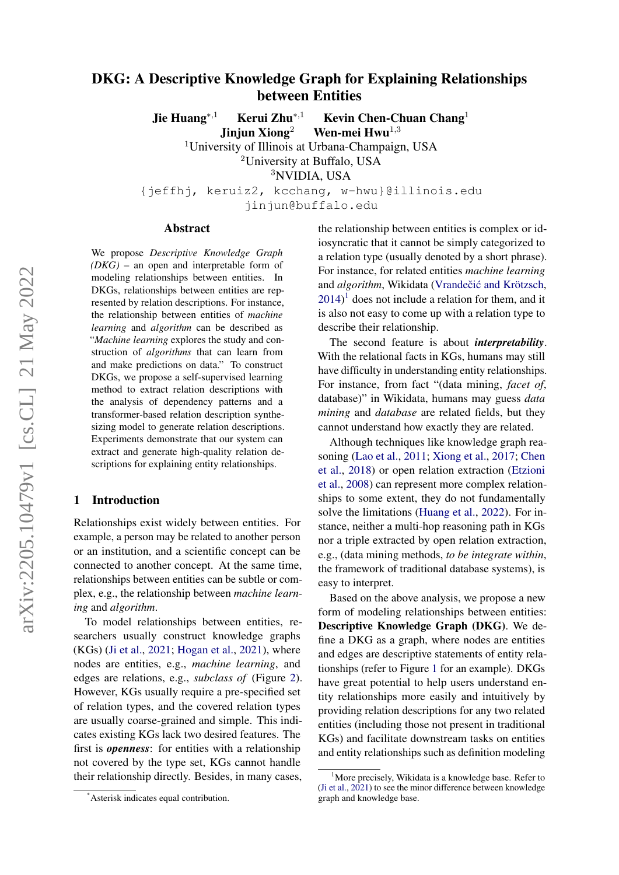# DKG: A Descriptive Knowledge Graph for Explaining Relationships between Entities

Jie Huang<sup>∗</sup>,<sup>1</sup> Kerui Zhu<sup>∗</sup>,<sup>1</sup> Kevin Chen-Chuan Chang<sup>1</sup>

Jinjun Xiong<sup>2</sup> Wen-mei Hwu<sup>1,3</sup>

<sup>1</sup>University of Illinois at Urbana-Champaign, USA <sup>2</sup>University at Buffalo, USA

<sup>3</sup>NVIDIA, USA

{jeffhj, keruiz2, kcchang, w-hwu}@illinois.edu jinjun@buffalo.edu

#### Abstract

We propose *Descriptive Knowledge Graph (DKG)* – an open and interpretable form of modeling relationships between entities. In DKGs, relationships between entities are represented by relation descriptions. For instance, the relationship between entities of *machine learning* and *algorithm* can be described as "*Machine learning* explores the study and construction of *algorithms* that can learn from and make predictions on data." To construct DKGs, we propose a self-supervised learning method to extract relation descriptions with the analysis of dependency patterns and a transformer-based relation description synthesizing model to generate relation descriptions. Experiments demonstrate that our system can extract and generate high-quality relation descriptions for explaining entity relationships.

# 1 Introduction

Relationships exist widely between entities. For example, a person may be related to another person or an institution, and a scientific concept can be connected to another concept. At the same time, relationships between entities can be subtle or complex, e.g., the relationship between *machine learning* and *algorithm*.

To model relationships between entities, researchers usually construct knowledge graphs (KGs) [\(Ji et al.,](#page-8-0) [2021;](#page-8-0) [Hogan et al.,](#page-8-1) [2021\)](#page-8-1), where nodes are entities, e.g., *machine learning*, and edges are relations, e.g., *subclass of* (Figure [2\)](#page-1-0). However, KGs usually require a pre-specified set of relation types, and the covered relation types are usually coarse-grained and simple. This indicates existing KGs lack two desired features. The first is *openness*: for entities with a relationship not covered by the type set, KGs cannot handle their relationship directly. Besides, in many cases,

the relationship between entities is complex or idiosyncratic that it cannot be simply categorized to a relation type (usually denoted by a short phrase). For instance, for related entities *machine learning* and *algorithm*, Wikidata (Vrandečić and Krötzsch,  $2014$  $2014$  $2014$ <sup>1</sup> does not include a relation for them, and it is also not easy to come up with a relation type to describe their relationship.

The second feature is about *interpretability*. With the relational facts in KGs, humans may still have difficulty in understanding entity relationships. For instance, from fact "(data mining, *facet of*, database)" in Wikidata, humans may guess *data mining* and *database* are related fields, but they cannot understand how exactly they are related.

Although techniques like knowledge graph reasoning [\(Lao et al.,](#page-8-2) [2011;](#page-8-2) [Xiong et al.,](#page-9-1) [2017;](#page-9-1) [Chen](#page-8-3) [et al.,](#page-8-3) [2018\)](#page-8-3) or open relation extraction [\(Etzioni](#page-8-4) [et al.,](#page-8-4) [2008\)](#page-8-4) can represent more complex relationships to some extent, they do not fundamentally solve the limitations [\(Huang et al.,](#page-8-5) [2022\)](#page-8-5). For instance, neither a multi-hop reasoning path in KGs nor a triple extracted by open relation extraction, e.g., (data mining methods, *to be integrate within*, the framework of traditional database systems), is easy to interpret.

Based on the above analysis, we propose a new form of modeling relationships between entities: Descriptive Knowledge Graph (DKG). We define a DKG as a graph, where nodes are entities and edges are descriptive statements of entity relationships (refer to Figure [1](#page-1-1) for an example). DKGs have great potential to help users understand entity relationships more easily and intuitively by providing relation descriptions for any two related entities (including those not present in traditional KGs) and facilitate downstream tasks on entities and entity relationships such as definition modeling

<sup>\*</sup>Asterisk indicates equal contribution.

<span id="page-0-0"></span><sup>&</sup>lt;sup>1</sup>More precisely, Wikidata is a knowledge base. Refer to [\(Ji et al.,](#page-8-0) [2021\)](#page-8-0) to see the minor difference between knowledge graph and knowledge base.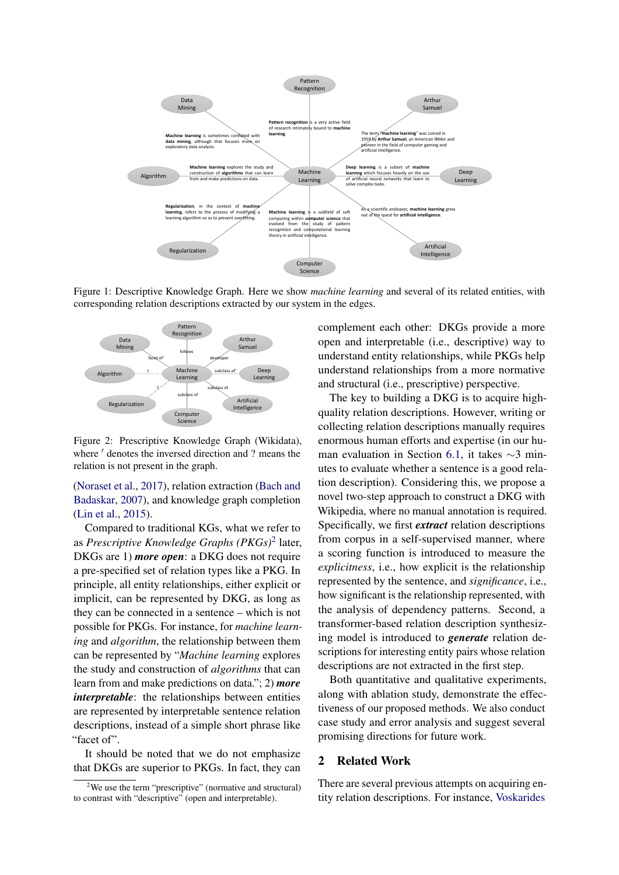<span id="page-1-1"></span>

Figure 1: Descriptive Knowledge Graph. Here we show *machine learning* and several of its related entities, with corresponding relation descriptions extracted by our system in the edges.

<span id="page-1-0"></span>

Figure 2: Prescriptive Knowledge Graph (Wikidata), where  $'$  denotes the inversed direction and ? means the relation is not present in the graph.

[\(Noraset et al.,](#page-8-6) [2017\)](#page-8-6), relation extraction [\(Bach and](#page-8-7) [Badaskar,](#page-8-7) [2007\)](#page-8-7), and knowledge graph completion [\(Lin et al.,](#page-8-8) [2015\)](#page-8-8).

Compared to traditional KGs, what we refer to as *Prescriptive Knowledge Graphs (PKGs)*[2](#page-1-2) later, DKGs are 1) *more open*: a DKG does not require a pre-specified set of relation types like a PKG. In principle, all entity relationships, either explicit or implicit, can be represented by DKG, as long as they can be connected in a sentence – which is not possible for PKGs. For instance, for *machine learning* and *algorithm*, the relationship between them can be represented by "*Machine learning* explores the study and construction of *algorithms* that can learn from and make predictions on data."; 2) *more interpretable*: the relationships between entities are represented by interpretable sentence relation descriptions, instead of a simple short phrase like "facet of".

It should be noted that we do not emphasize that DKGs are superior to PKGs. In fact, they can complement each other: DKGs provide a more open and interpretable (i.e., descriptive) way to understand entity relationships, while PKGs help understand relationships from a more normative and structural (i.e., prescriptive) perspective.

The key to building a DKG is to acquire highquality relation descriptions. However, writing or collecting relation descriptions manually requires enormous human efforts and expertise (in our human evaluation in Section [6.1,](#page-5-0) it takes ∼3 minutes to evaluate whether a sentence is a good relation description). Considering this, we propose a novel two-step approach to construct a DKG with Wikipedia, where no manual annotation is required. Specifically, we first *extract* relation descriptions from corpus in a self-supervised manner, where a scoring function is introduced to measure the *explicitness*, i.e., how explicit is the relationship represented by the sentence, and *significance*, i.e., how significant is the relationship represented, with the analysis of dependency patterns. Second, a transformer-based relation description synthesizing model is introduced to *generate* relation descriptions for interesting entity pairs whose relation descriptions are not extracted in the first step.

Both quantitative and qualitative experiments, along with ablation study, demonstrate the effectiveness of our proposed methods. We also conduct case study and error analysis and suggest several promising directions for future work.

# 2 Related Work

There are several previous attempts on acquiring entity relation descriptions. For instance, [Voskarides](#page-9-2)

<span id="page-1-2"></span> $2$ We use the term "prescriptive" (normative and structural) to contrast with "descriptive" (open and interpretable).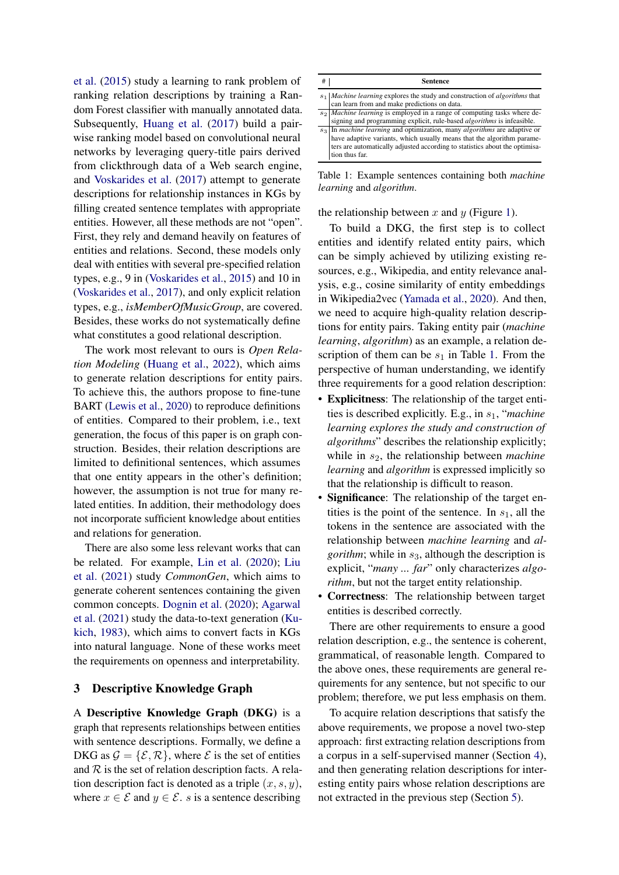[et al.](#page-9-2) [\(2015\)](#page-9-2) study a learning to rank problem of ranking relation descriptions by training a Random Forest classifier with manually annotated data. Subsequently, [Huang et al.](#page-8-9) [\(2017\)](#page-8-9) build a pairwise ranking model based on convolutional neural networks by leveraging query-title pairs derived from clickthrough data of a Web search engine, and [Voskarides et al.](#page-9-3) [\(2017\)](#page-9-3) attempt to generate descriptions for relationship instances in KGs by filling created sentence templates with appropriate entities. However, all these methods are not "open". First, they rely and demand heavily on features of entities and relations. Second, these models only deal with entities with several pre-specified relation types, e.g., 9 in [\(Voskarides et al.,](#page-9-2) [2015\)](#page-9-2) and 10 in [\(Voskarides et al.,](#page-9-3) [2017\)](#page-9-3), and only explicit relation types, e.g., *isMemberOfMusicGroup*, are covered. Besides, these works do not systematically define what constitutes a good relational description.

The work most relevant to ours is *Open Relation Modeling* [\(Huang et al.,](#page-8-5) [2022\)](#page-8-5), which aims to generate relation descriptions for entity pairs. To achieve this, the authors propose to fine-tune BART [\(Lewis et al.,](#page-8-10) [2020\)](#page-8-10) to reproduce definitions of entities. Compared to their problem, i.e., text generation, the focus of this paper is on graph construction. Besides, their relation descriptions are limited to definitional sentences, which assumes that one entity appears in the other's definition; however, the assumption is not true for many related entities. In addition, their methodology does not incorporate sufficient knowledge about entities and relations for generation.

There are also some less relevant works that can be related. For example, [Lin et al.](#page-8-11) [\(2020\)](#page-8-11); [Liu](#page-8-12) [et al.](#page-8-12) [\(2021\)](#page-8-12) study *CommonGen*, which aims to generate coherent sentences containing the given common concepts. [Dognin et al.](#page-8-13) [\(2020\)](#page-8-13); [Agarwal](#page-8-14) [et al.](#page-8-14) [\(2021\)](#page-8-14) study the data-to-text generation [\(Ku](#page-8-15)[kich,](#page-8-15) [1983\)](#page-8-15), which aims to convert facts in KGs into natural language. None of these works meet the requirements on openness and interpretability.

# <span id="page-2-1"></span>3 Descriptive Knowledge Graph

A Descriptive Knowledge Graph (DKG) is a graph that represents relationships between entities with sentence descriptions. Formally, we define a DKG as  $\mathcal{G} = \{\mathcal{E}, \mathcal{R}\}\$ , where  $\mathcal{E}$  is the set of entities and  $R$  is the set of relation description facts. A relation description fact is denoted as a triple  $(x, s, y)$ , where  $x \in \mathcal{E}$  and  $y \in \mathcal{E}$ . s is a sentence describing

<span id="page-2-0"></span>

| # | <b>Sentence</b>                                                                                                                                                                                                                                                      |
|---|----------------------------------------------------------------------------------------------------------------------------------------------------------------------------------------------------------------------------------------------------------------------|
|   | $s_1$ <i>Machine learning</i> explores the study and construction of <i>algorithms</i> that<br>can learn from and make predictions on data.                                                                                                                          |
|   | $s_2$ <i>Machine learning</i> is employed in a range of computing tasks where de-<br>signing and programming explicit, rule-based <i>algorithms</i> is infeasible.                                                                                                   |
|   | $s_3$ In <i>machine learning</i> and optimization, many <i>algorithms</i> are adaptive or<br>have adaptive variants, which usually means that the algorithm parame-<br>ters are automatically adjusted according to statistics about the optimisa-<br>tion thus far. |

Table 1: Example sentences containing both *machine learning* and *algorithm*.

the relationship between x and y (Figure [1\)](#page-1-1).

To build a DKG, the first step is to collect entities and identify related entity pairs, which can be simply achieved by utilizing existing resources, e.g., Wikipedia, and entity relevance analysis, e.g., cosine similarity of entity embeddings in Wikipedia2vec [\(Yamada et al.,](#page-9-4) [2020\)](#page-9-4). And then, we need to acquire high-quality relation descriptions for entity pairs. Taking entity pair (*machine learning*, *algorithm*) as an example, a relation description of them can be  $s_1$  in Table [1.](#page-2-0) From the perspective of human understanding, we identify three requirements for a good relation description:

- Explicitness: The relationship of the target entities is described explicitly. E.g., in  $s_1$ , "*machine learning explores the study and construction of algorithms*" describes the relationship explicitly; while in  $s_2$ , the relationship between *machine learning* and *algorithm* is expressed implicitly so that the relationship is difficult to reason.
- Significance: The relationship of the target entities is the point of the sentence. In  $s<sub>1</sub>$ , all the tokens in the sentence are associated with the relationship between *machine learning* and *algorithm*; while in  $s_3$ , although the description is explicit, "*many ... far*" only characterizes *algorithm*, but not the target entity relationship.
- Correctness: The relationship between target entities is described correctly.

There are other requirements to ensure a good relation description, e.g., the sentence is coherent, grammatical, of reasonable length. Compared to the above ones, these requirements are general requirements for any sentence, but not specific to our problem; therefore, we put less emphasis on them.

To acquire relation descriptions that satisfy the above requirements, we propose a novel two-step approach: first extracting relation descriptions from a corpus in a self-supervised manner (Section [4\)](#page-3-0), and then generating relation descriptions for interesting entity pairs whose relation descriptions are not extracted in the previous step (Section [5\)](#page-4-0).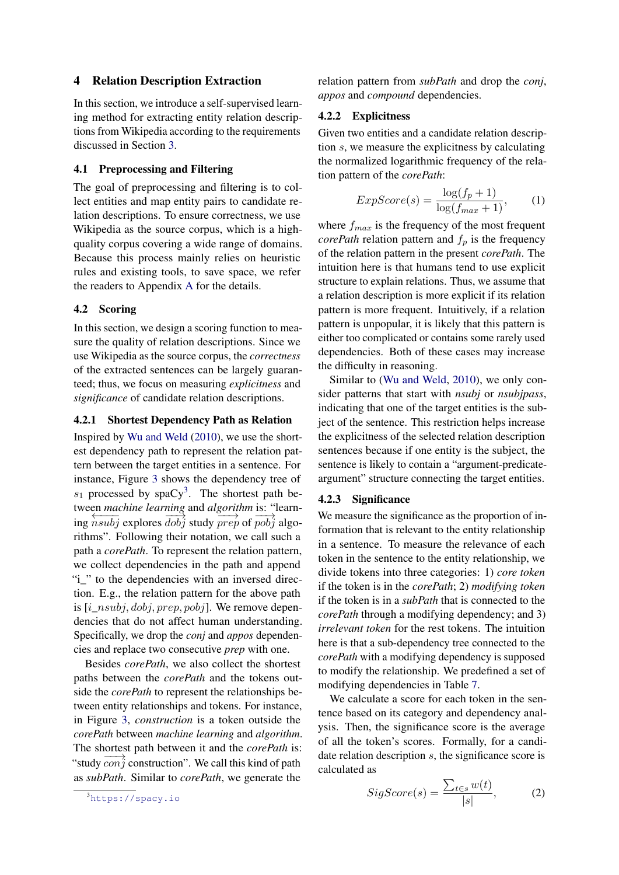# <span id="page-3-0"></span>4 Relation Description Extraction

In this section, we introduce a self-supervised learning method for extracting entity relation descriptions from Wikipedia according to the requirements discussed in Section [3.](#page-2-1)

# <span id="page-3-2"></span>4.1 Preprocessing and Filtering

The goal of preprocessing and filtering is to collect entities and map entity pairs to candidate relation descriptions. To ensure correctness, we use Wikipedia as the source corpus, which is a highquality corpus covering a wide range of domains. Because this process mainly relies on heuristic rules and existing tools, to save space, we refer the readers to Appendix [A](#page-10-0) for the details.

#### 4.2 Scoring

In this section, we design a scoring function to measure the quality of relation descriptions. Since we use Wikipedia as the source corpus, the *correctness* of the extracted sentences can be largely guaranteed; thus, we focus on measuring *explicitness* and *significance* of candidate relation descriptions.

# 4.2.1 Shortest Dependency Path as Relation

Inspired by [Wu and Weld](#page-9-5) [\(2010\)](#page-9-5), we use the shortest dependency path to represent the relation pattern between the target entities in a sentence. For instance, Figure [3](#page-4-1) shows the dependency tree of  $s_1$  processed by spaCy<sup>[3](#page-3-1)</sup>. The shortest path between *machine learning* and *algorithm* is: "learn- $\frac{1}{\log n}$  ing  $\frac{1}{n}$  subjects that  $\frac{1}{n}$  and  $\frac{1}{n}$  and  $\frac{1}{n}$  and  $\frac{1}{n}$  and  $\frac{1}{n}$  and  $\frac{1}{n}$  and  $\frac{1}{n}$  and  $\frac{1}{n}$  and  $\frac{1}{n}$  and  $\frac{1}{n}$  and  $\frac{1}{n}$  and  $\frac{1}{n}$  and  $\frac{1}{n}$  and rithms". Following their notation, we call such a path a *corePath*. To represent the relation pattern, we collect dependencies in the path and append "i\_" to the dependencies with an inversed direction. E.g., the relation pattern for the above path is  $[i\_nsubj, dobj, prep, pobj]$ . We remove dependencies that do not affect human understanding. Specifically, we drop the *conj* and *appos* dependencies and replace two consecutive *prep* with one.

Besides *corePath*, we also collect the shortest paths between the *corePath* and the tokens outside the *corePath* to represent the relationships between entity relationships and tokens. For instance, in Figure [3,](#page-4-1) *construction* is a token outside the *corePath* between *machine learning* and *algorithm*. The shortest path between it and the *corePath* is: "study  $\cos^2\theta$  construction". We call this kind of path as *subPath*. Similar to *corePath*, we generate the

relation pattern from *subPath* and drop the *conj*, *appos* and *compound* dependencies.

#### <span id="page-3-5"></span>4.2.2 Explicitness

Given two entities and a candidate relation description s, we measure the explicitness by calculating the normalized logarithmic frequency of the relation pattern of the *corePath*:

<span id="page-3-3"></span>
$$
ExpScore(s) = \frac{\log(f_p + 1)}{\log(f_{max} + 1)},
$$
 (1)

where  $f_{max}$  is the frequency of the most frequent *corePath* relation pattern and  $f_p$  is the frequency of the relation pattern in the present *corePath*. The intuition here is that humans tend to use explicit structure to explain relations. Thus, we assume that a relation description is more explicit if its relation pattern is more frequent. Intuitively, if a relation pattern is unpopular, it is likely that this pattern is either too complicated or contains some rarely used dependencies. Both of these cases may increase the difficulty in reasoning.

Similar to [\(Wu and Weld,](#page-9-5) [2010\)](#page-9-5), we only consider patterns that start with *nsubj* or *nsubjpass*, indicating that one of the target entities is the subject of the sentence. This restriction helps increase the explicitness of the selected relation description sentences because if one entity is the subject, the sentence is likely to contain a "argument-predicateargument" structure connecting the target entities.

### 4.2.3 Significance

We measure the significance as the proportion of information that is relevant to the entity relationship in a sentence. To measure the relevance of each token in the sentence to the entity relationship, we divide tokens into three categories: 1) *core token* if the token is in the *corePath*; 2) *modifying token* if the token is in a *subPath* that is connected to the *corePath* through a modifying dependency; and 3) *irrelevant token* for the rest tokens. The intuition here is that a sub-dependency tree connected to the *corePath* with a modifying dependency is supposed to modify the relationship. We predefined a set of modifying dependencies in Table [7.](#page-10-1)

We calculate a score for each token in the sentence based on its category and dependency analysis. Then, the significance score is the average of all the token's scores. Formally, for a candidate relation description s, the significance score is calculated as

<span id="page-3-4"></span>
$$
SigScore(s) = \frac{\sum_{t \in s} w(t)}{|s|}, \quad (2)
$$

<span id="page-3-1"></span><sup>3</sup><https://spacy.io>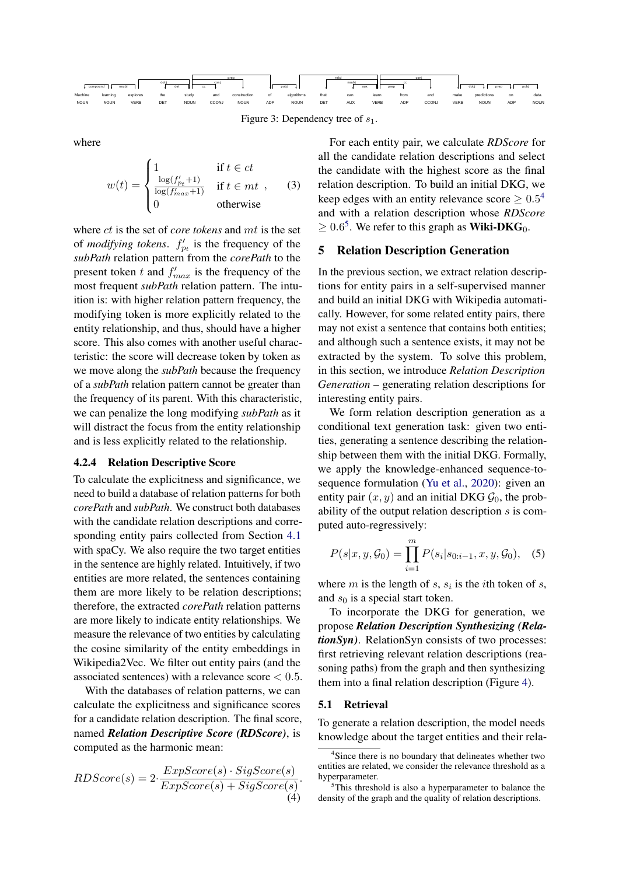<span id="page-4-1"></span>

Figure 3: Dependency tree of  $s_1$ .

where

$$
w(t) = \begin{cases} 1 & \text{if } t \in ct \\ \frac{\log(f'_{pt}+1)}{\log(f'_{max}+1)} & \text{if } t \in mt , \quad (3) \\ 0 & \text{otherwise} \end{cases}
$$

where ct is the set of *core tokens* and mt is the set of *modifying tokens.*  $f'_{p_t}$  is the frequency of the *subPath* relation pattern from the *corePath* to the present token t and  $f'_{max}$  is the frequency of the most frequent *subPath* relation pattern. The intuition is: with higher relation pattern frequency, the modifying token is more explicitly related to the entity relationship, and thus, should have a higher score. This also comes with another useful characteristic: the score will decrease token by token as we move along the *subPath* because the frequency of a *subPath* relation pattern cannot be greater than the frequency of its parent. With this characteristic, we can penalize the long modifying *subPath* as it will distract the focus from the entity relationship and is less explicitly related to the relationship.

# 4.2.4 Relation Descriptive Score

To calculate the explicitness and significance, we need to build a database of relation patterns for both *corePath* and *subPath*. We construct both databases with the candidate relation descriptions and corresponding entity pairs collected from Section [4.1](#page-3-2) with spaCy. We also require the two target entities in the sentence are highly related. Intuitively, if two entities are more related, the sentences containing them are more likely to be relation descriptions; therefore, the extracted *corePath* relation patterns are more likely to indicate entity relationships. We measure the relevance of two entities by calculating the cosine similarity of the entity embeddings in Wikipedia2Vec. We filter out entity pairs (and the associated sentences) with a relevance score  $< 0.5$ .

With the databases of relation patterns, we can calculate the explicitness and significance scores for a candidate relation description. The final score, named *Relation Descriptive Score (RDScore)*, is computed as the harmonic mean:

RDScore(s) = 
$$
2 \cdot \frac{ExpScore(s) \cdot SigScore(s)}{ExpScore(s) + SigScore(s)}
$$
   
  $EDScore(s) + SigScore(s)$    
  $expScore(s)$    
  $expScore(s)$    
  $StepScore(s)$    
  $StepScore(s)$    
  $StepScore(s)$    
  $StepScore(s)$    
  $StepScore(s)$    
  $StepScore(s)$    
  $StepScore(s)$    
  $StepScore(s)$    
  $StepScore(s)$    
  $StepScore(s)$    
  $StepScore(s)$    
  $StepScore(s)$    
  $StepScore(s)$    
  $StepScore(s)$    
  $StepScore(s)$    
  $StepScore(s)$    
  $StepScore(s)$    
  $StepScore(s)$    
  $StepScore(s)$    
  $StepScore(s)$    
  $StepScore(s)$    
  $StepScore(s)$    
  $StepScore(s)$    
  $StepScore(s)$    
  $StepScore(s)$    
  $StepScore(s)$    
  $StepScore(s)$    
  $StepScore(s)$    
  $StepScore(s)$    
  $StepScore(s)$    
  $StepScore(s)$    
  $StepScore(s)$    
  $StepScore(s)$    
  $StepScore(s)$    
  $StepScore(s)$    
  $StepScore(s)$    
  $StepScore(s)$    
  $StepScore(s)$    
  $StepScore(s)$    
  $StepScore(s)$    
  $StepScore(s)$    
  $StepScore(s)$    
  $StepScore(s)$    
  $StepScore(s)$    
  $StepScore(s)$    
  $StepScore(s)$    
  $StepScore(s)$    
  $StepScore(s)$    
  $StepScore(s)$    
  $StepScore(s)$    
  $StepScore(s)$    
  $StepScore(s)$    
  $StepScore(s)$    
  $StepScore(s)$    
  $StepScore(s)$    
  $StepScore(s)$    
  $StepScore(s)$    

For each entity pair, we calculate *RDScore* for all the candidate relation descriptions and select the candidate with the highest score as the final relation description. To build an initial DKG, we keep edges with an entity relevance score  $\geq 0.5^4$  $\geq 0.5^4$ and with a relation description whose *RDScore*  $\geq 0.6^5$  $\geq 0.6^5$ . We refer to this graph as **Wiki-DKG**<sub>0</sub>.

# <span id="page-4-0"></span>5 Relation Description Generation

In the previous section, we extract relation descriptions for entity pairs in a self-supervised manner and build an initial DKG with Wikipedia automatically. However, for some related entity pairs, there may not exist a sentence that contains both entities; and although such a sentence exists, it may not be extracted by the system. To solve this problem, in this section, we introduce *Relation Description Generation* – generating relation descriptions for interesting entity pairs.

We form relation description generation as a conditional text generation task: given two entities, generating a sentence describing the relationship between them with the initial DKG. Formally, we apply the knowledge-enhanced sequence-tosequence formulation [\(Yu et al.,](#page-9-6) [2020\)](#page-9-6): given an entity pair  $(x, y)$  and an initial DKG  $\mathcal{G}_0$ , the probability of the output relation description s is computed auto-regressively:

$$
P(s|x, y, \mathcal{G}_0) = \prod_{i=1}^{m} P(s_i|s_{0:i-1}, x, y, \mathcal{G}_0), \quad (5)
$$

where  $m$  is the length of  $s$ ,  $s_i$  is the *i*th token of  $s$ , and  $s_0$  is a special start token.

To incorporate the DKG for generation, we propose *Relation Description Synthesizing (RelationSyn)*. RelationSyn consists of two processes: first retrieving relevant relation descriptions (reasoning paths) from the graph and then synthesizing them into a final relation description (Figure [4\)](#page-5-1).

#### <span id="page-4-4"></span>5.1 Retrieval

To generate a relation description, the model needs knowledge about the target entities and their rela-

<span id="page-4-5"></span><span id="page-4-2"></span><sup>&</sup>lt;sup>4</sup>Since there is no boundary that delineates whether two entities are related, we consider the relevance threshold as a hyperparameter.

<span id="page-4-3"></span><sup>&</sup>lt;sup>5</sup>This threshold is also a hyperparameter to balance the density of the graph and the quality of relation descriptions.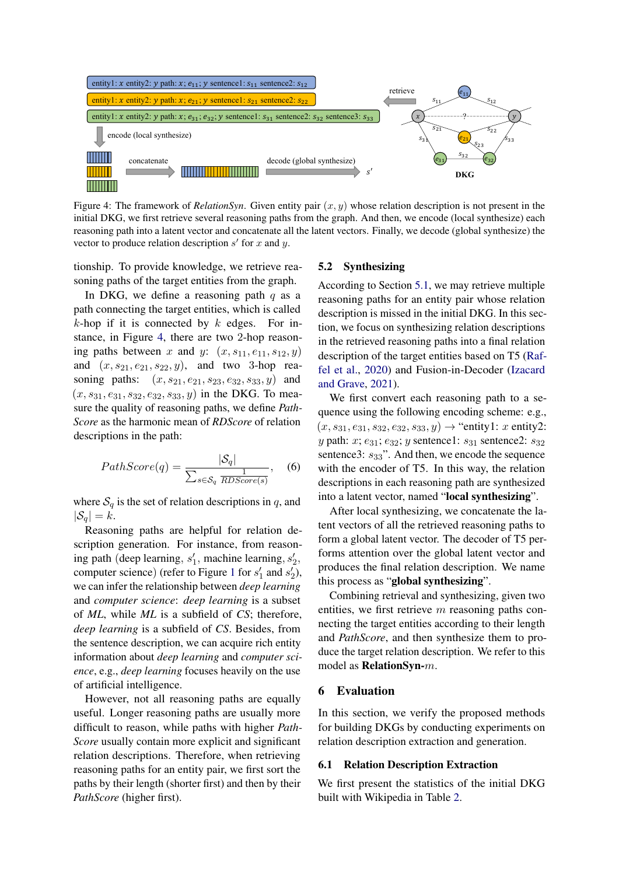<span id="page-5-1"></span>

Figure 4: The framework of *RelationSyn*. Given entity pair  $(x, y)$  whose relation description is not present in the initial DKG, we first retrieve several reasoning paths from the graph. And then, we encode (local synthesize) each reasoning path into a latent vector and concatenate all the latent vectors. Finally, we decode (global synthesize) the vector to produce relation description  $s'$  for  $x$  and  $y$ .

tionship. To provide knowledge, we retrieve reasoning paths of the target entities from the graph.

In DKG, we define a reasoning path  $q$  as a path connecting the target entities, which is called  $k$ -hop if it is connected by  $k$  edges. For instance, in Figure [4,](#page-5-1) there are two 2-hop reasoning paths between x and y:  $(x, s_{11}, e_{11}, s_{12}, y)$ and  $(x, s_{21}, e_{21}, s_{22}, y)$ , and two 3-hop reasoning paths:  $(x, s_{21}, e_{21}, s_{23}, e_{32}, s_{33}, y)$  and  $(x, s_{31}, e_{31}, s_{32}, e_{32}, s_{33}, y)$  in the DKG. To measure the quality of reasoning paths, we define *Path-Score* as the harmonic mean of *RDScore* of relation descriptions in the path:

$$
PathScore(q) = \frac{|S_q|}{\sum_{s \in S_q} \frac{1}{RDScore(s)}}, \quad (6)
$$

where  $S_q$  is the set of relation descriptions in q, and  $|\mathcal{S}_q| = k$ .

Reasoning paths are helpful for relation description generation. For instance, from reasoning path (deep learning,  $s'_1$ , machine learning,  $s'_2$ , computer science) (refer to Figure [1](#page-1-1) for  $s'_1$  and  $s'_2$ ), we can infer the relationship between *deep learning* and *computer science*: *deep learning* is a subset of *ML*, while *ML* is a subfield of *CS*; therefore, *deep learning* is a subfield of *CS*. Besides, from the sentence description, we can acquire rich entity information about *deep learning* and *computer science*, e.g., *deep learning* focuses heavily on the use of artificial intelligence.

However, not all reasoning paths are equally useful. Longer reasoning paths are usually more difficult to reason, while paths with higher *Path-Score* usually contain more explicit and significant relation descriptions. Therefore, when retrieving reasoning paths for an entity pair, we first sort the paths by their length (shorter first) and then by their *PathScore* (higher first).

#### 5.2 Synthesizing

According to Section [5.1,](#page-4-4) we may retrieve multiple reasoning paths for an entity pair whose relation description is missed in the initial DKG. In this section, we focus on synthesizing relation descriptions in the retrieved reasoning paths into a final relation description of the target entities based on T5 [\(Raf](#page-8-16)[fel et al.,](#page-8-16) [2020\)](#page-8-16) and Fusion-in-Decoder [\(Izacard](#page-8-17) [and Grave,](#page-8-17) [2021\)](#page-8-17).

We first convert each reasoning path to a sequence using the following encoding scheme: e.g.,  $(x, s_{31}, e_{31}, s_{32}, e_{32}, s_{33}, y) \rightarrow$  "entity1: x entity2: y path:  $x; e_{31}; e_{32}; y$  sentence1:  $s_{31}$  sentence2:  $s_{32}$ sentence3:  $s_{33}$ ". And then, we encode the sequence with the encoder of T5. In this way, the relation descriptions in each reasoning path are synthesized into a latent vector, named "local synthesizing".

After local synthesizing, we concatenate the latent vectors of all the retrieved reasoning paths to form a global latent vector. The decoder of T5 performs attention over the global latent vector and produces the final relation description. We name this process as "global synthesizing".

Combining retrieval and synthesizing, given two entities, we first retrieve  $m$  reasoning paths connecting the target entities according to their length and *PathScore*, and then synthesize them to produce the target relation description. We refer to this model as RelationSyn-m.

# 6 Evaluation

In this section, we verify the proposed methods for building DKGs by conducting experiments on relation description extraction and generation.

#### <span id="page-5-0"></span>6.1 Relation Description Extraction

We first present the statistics of the initial DKG built with Wikipedia in Table [2.](#page-6-0)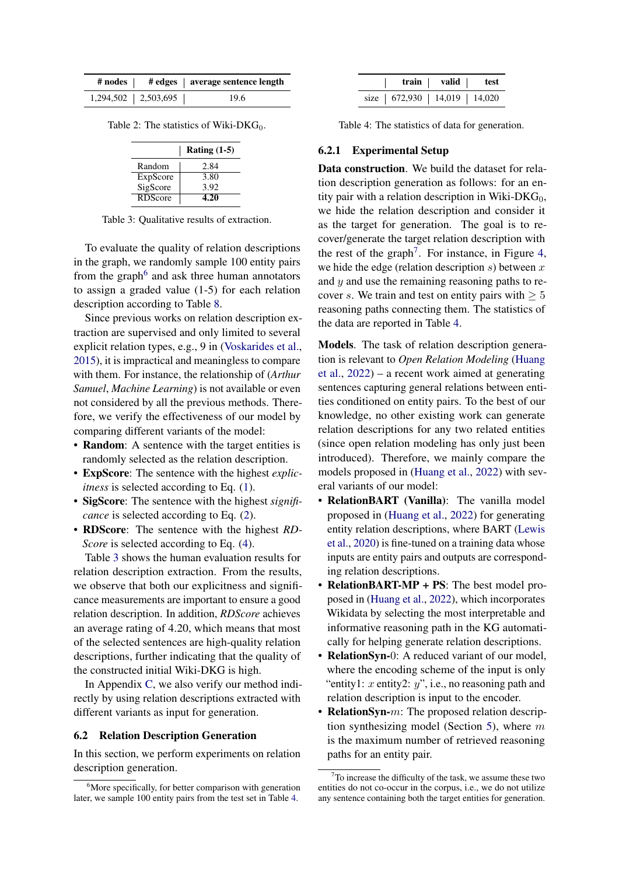<span id="page-6-0"></span>

|                         | # nodes   # edges   average sentence length |
|-------------------------|---------------------------------------------|
| $1,294,502$   2,503,695 | 19.6                                        |

<span id="page-6-2"></span>Table 2: The statistics of Wiki-DK $G_0$ .

|          | Rating $(1-5)$ |
|----------|----------------|
| Random   | 2.84           |
| ExpScore | 3.80           |
| SigScore | 3.92           |
| RDScore  | 4.20           |

Table 3: Qualitative results of extraction.

To evaluate the quality of relation descriptions in the graph, we randomly sample 100 entity pairs from the graph<sup>[6](#page-6-1)</sup> and ask three human annotators to assign a graded value (1-5) for each relation description according to Table [8.](#page-10-2)

Since previous works on relation description extraction are supervised and only limited to several explicit relation types, e.g., 9 in [\(Voskarides et al.,](#page-9-2) [2015\)](#page-9-2), it is impractical and meaningless to compare with them. For instance, the relationship of (*Arthur Samuel*, *Machine Learning*) is not available or even not considered by all the previous methods. Therefore, we verify the effectiveness of our model by comparing different variants of the model:

- Random: A sentence with the target entities is randomly selected as the relation description.
- ExpScore: The sentence with the highest *explicitness* is selected according to Eq.  $(1)$ .
- SigScore: The sentence with the highest *significance* is selected according to Eq.  $(2)$ .
- RDScore: The sentence with the highest *RD-Score* is selected according to Eq.  $(4)$ .

Table [3](#page-6-2) shows the human evaluation results for relation description extraction. From the results, we observe that both our explicitness and significance measurements are important to ensure a good relation description. In addition, *RDScore* achieves an average rating of 4.20, which means that most of the selected sentences are high-quality relation descriptions, further indicating that the quality of the constructed initial Wiki-DKG is high.

In Appendix [C,](#page-11-0) we also verify our method indirectly by using relation descriptions extracted with different variants as input for generation.

# 6.2 Relation Description Generation

In this section, we perform experiments on relation description generation.

<span id="page-6-3"></span>

|                                  | train   valid   test |  |
|----------------------------------|----------------------|--|
| size   672,930   14,019   14,020 |                      |  |

Table 4: The statistics of data for generation.

#### 6.2.1 Experimental Setup

Data construction. We build the dataset for relation description generation as follows: for an entity pair with a relation description in Wiki- $DKG_0$ , we hide the relation description and consider it as the target for generation. The goal is to recover/generate the target relation description with the rest of the graph<sup>[7](#page-6-4)</sup>. For instance, in Figure [4,](#page-5-1) we hide the edge (relation description  $s$ ) between  $x$ and y and use the remaining reasoning paths to recover s. We train and test on entity pairs with  $\geq 5$ reasoning paths connecting them. The statistics of the data are reported in Table [4.](#page-6-3)

Models. The task of relation description generation is relevant to *Open Relation Modeling* [\(Huang](#page-8-5) [et al.,](#page-8-5) [2022\)](#page-8-5) – a recent work aimed at generating sentences capturing general relations between entities conditioned on entity pairs. To the best of our knowledge, no other existing work can generate relation descriptions for any two related entities (since open relation modeling has only just been introduced). Therefore, we mainly compare the models proposed in [\(Huang et al.,](#page-8-5) [2022\)](#page-8-5) with several variants of our model:

- RelationBART (Vanilla): The vanilla model proposed in [\(Huang et al.,](#page-8-5) [2022\)](#page-8-5) for generating entity relation descriptions, where BART [\(Lewis](#page-8-10) [et al.,](#page-8-10) [2020\)](#page-8-10) is fine-tuned on a training data whose inputs are entity pairs and outputs are corresponding relation descriptions.
- RelationBART-MP + PS: The best model proposed in [\(Huang et al.,](#page-8-5) [2022\)](#page-8-5), which incorporates Wikidata by selecting the most interpretable and informative reasoning path in the KG automatically for helping generate relation descriptions.
- RelationSyn-0: A reduced variant of our model, where the encoding scheme of the input is only "entity1:  $x$  entity2:  $y$ ", i.e., no reasoning path and relation description is input to the encoder.
- RelationSyn- $m$ : The proposed relation descrip-tion synthesizing model (Section [5\)](#page-5-1), where  $m$ is the maximum number of retrieved reasoning paths for an entity pair.

<span id="page-6-1"></span><sup>&</sup>lt;sup>6</sup>More specifically, for better comparison with generation later, we sample 100 entity pairs from the test set in Table [4.](#page-6-3)

<span id="page-6-4"></span> $7$ To increase the difficulty of the task, we assume these two entities do not co-occur in the corpus, i.e., we do not utilize any sentence containing both the target entities for generation.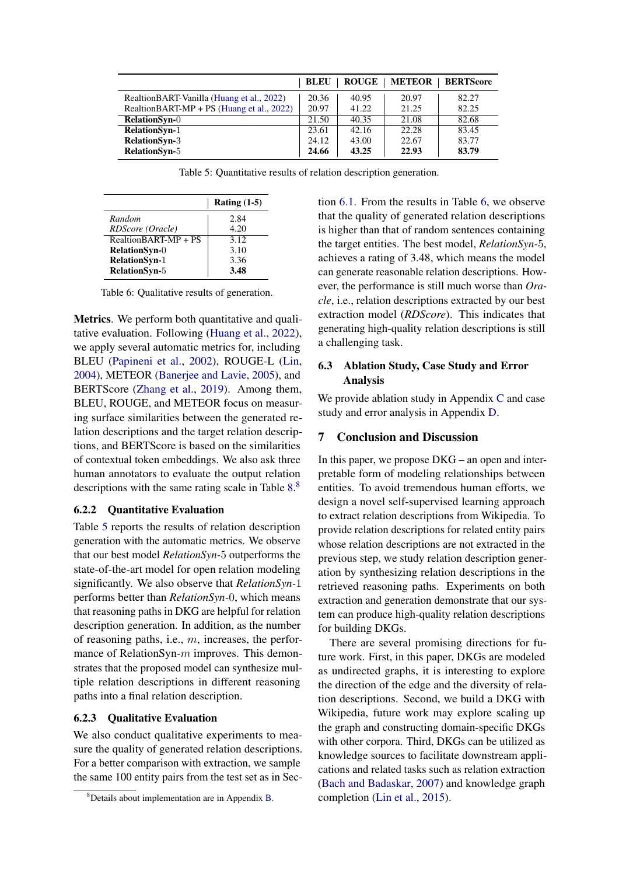<span id="page-7-1"></span>

|                                           | <b>BLEU</b> | <b>ROUGE</b> | <b>METEOR</b> | <b>BERTScore</b> |
|-------------------------------------------|-------------|--------------|---------------|------------------|
| RealtionBART-Vanilla (Huang et al., 2022) | 20.36       | 40.95        | 20.97         | 82.27            |
| RealtionBART-MP + PS (Huang et al., 2022) | 20.97       | 41.22        | 21.25         | 82.25            |
| <b>RelationSyn-0</b>                      | 21.50       | 40.35        | 21.08         | 82.68            |
| <b>RelationSyn-1</b>                      | 23.61       | 42.16        | 22.28         | 83.45            |
| <b>RelationSyn-3</b>                      | 24.12       | 43.00        | 22.67         | 83.77            |
| <b>RelationSyn-5</b>                      | 24.66       | 43.25        | 22.93         | 83.79            |

Table 5: Quantitative results of relation description generation.

<span id="page-7-2"></span>

|                      | Rating $(1-5)$ |
|----------------------|----------------|
| Random               | 2.84           |
| RDScore (Oracle)     | 4.20           |
| RealtionBART-MP + PS | 3.12           |
| <b>RelationSyn-0</b> | 3.10           |
| <b>RelationSyn-1</b> | 3.36           |
| RelationSyn-5        | 3.48           |

Table 6: Qualitative results of generation.

Metrics. We perform both quantitative and qualitative evaluation. Following [\(Huang et al.,](#page-8-5) [2022\)](#page-8-5), we apply several automatic metrics for, including BLEU [\(Papineni et al.,](#page-8-18) [2002\)](#page-8-18), ROUGE-L [\(Lin,](#page-8-19) [2004\)](#page-8-19), METEOR [\(Banerjee and Lavie,](#page-8-20) [2005\)](#page-8-20), and BERTScore [\(Zhang et al.,](#page-9-7) [2019\)](#page-9-7). Among them, BLEU, ROUGE, and METEOR focus on measuring surface similarities between the generated relation descriptions and the target relation descriptions, and BERTScore is based on the similarities of contextual token embeddings. We also ask three human annotators to evaluate the output relation descriptions with the same rating scale in Table [8.](#page-10-2)<sup>[8](#page-7-0)</sup>

# 6.2.2 Quantitative Evaluation

Table [5](#page-7-1) reports the results of relation description generation with the automatic metrics. We observe that our best model *RelationSyn-*5 outperforms the state-of-the-art model for open relation modeling significantly. We also observe that *RelationSyn-*1 performs better than *RelationSyn-*0, which means that reasoning paths in DKG are helpful for relation description generation. In addition, as the number of reasoning paths, i.e.,  $m$ , increases, the performance of RelationSyn- $m$  improves. This demonstrates that the proposed model can synthesize multiple relation descriptions in different reasoning paths into a final relation description.

# 6.2.3 Qualitative Evaluation

We also conduct qualitative experiments to measure the quality of generated relation descriptions. For a better comparison with extraction, we sample the same 100 entity pairs from the test set as in Section [6.1.](#page-5-0) From the results in Table [6,](#page-7-2) we observe that the quality of generated relation descriptions is higher than that of random sentences containing the target entities. The best model, *RelationSyn-*5, achieves a rating of 3.48, which means the model can generate reasonable relation descriptions. However, the performance is still much worse than *Oracle*, i.e., relation descriptions extracted by our best extraction model (*RDScore*). This indicates that generating high-quality relation descriptions is still a challenging task.

# 6.3 Ablation Study, Case Study and Error Analysis

We provide ablation study in Appendix [C](#page-11-0) and case study and error analysis in Appendix [D.](#page-11-2)

# 7 Conclusion and Discussion

In this paper, we propose  $DKG - an$  open and interpretable form of modeling relationships between entities. To avoid tremendous human efforts, we design a novel self-supervised learning approach to extract relation descriptions from Wikipedia. To provide relation descriptions for related entity pairs whose relation descriptions are not extracted in the previous step, we study relation description generation by synthesizing relation descriptions in the retrieved reasoning paths. Experiments on both extraction and generation demonstrate that our system can produce high-quality relation descriptions for building DKGs.

There are several promising directions for future work. First, in this paper, DKGs are modeled as undirected graphs, it is interesting to explore the direction of the edge and the diversity of relation descriptions. Second, we build a DKG with Wikipedia, future work may explore scaling up the graph and constructing domain-specific DKGs with other corpora. Third, DKGs can be utilized as knowledge sources to facilitate downstream applications and related tasks such as relation extraction [\(Bach and Badaskar,](#page-8-7) [2007\)](#page-8-7) and knowledge graph completion [\(Lin et al.,](#page-8-8) [2015\)](#page-8-8).

<span id="page-7-0"></span><sup>8</sup>Details about implementation are in Appendix [B.](#page-11-1)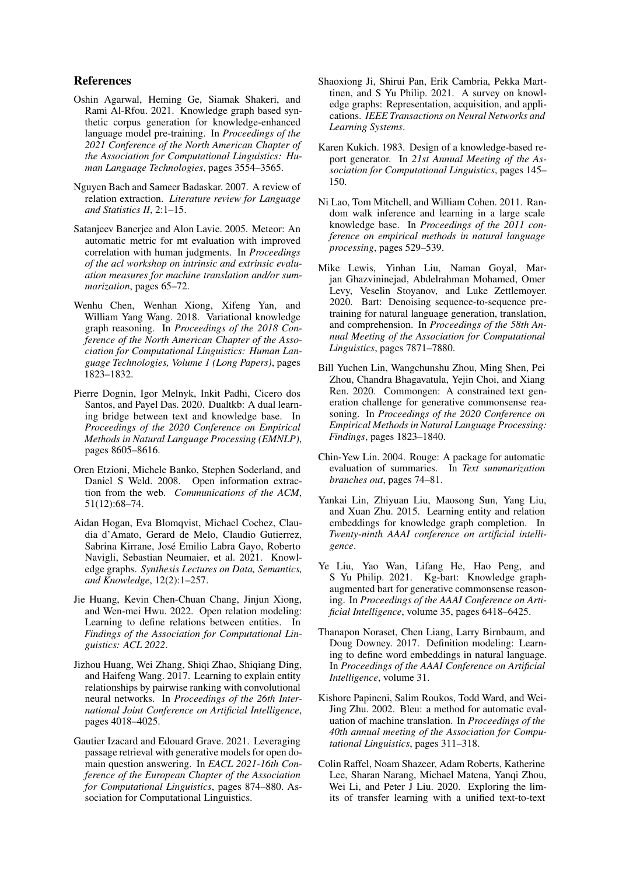# References

- <span id="page-8-14"></span>Oshin Agarwal, Heming Ge, Siamak Shakeri, and Rami Al-Rfou. 2021. Knowledge graph based synthetic corpus generation for knowledge-enhanced language model pre-training. In *Proceedings of the 2021 Conference of the North American Chapter of the Association for Computational Linguistics: Human Language Technologies*, pages 3554–3565.
- <span id="page-8-7"></span>Nguyen Bach and Sameer Badaskar. 2007. A review of relation extraction. *Literature review for Language and Statistics II*, 2:1–15.
- <span id="page-8-20"></span>Satanjeev Banerjee and Alon Lavie. 2005. Meteor: An automatic metric for mt evaluation with improved correlation with human judgments. In *Proceedings of the acl workshop on intrinsic and extrinsic evaluation measures for machine translation and/or summarization*, pages 65–72.
- <span id="page-8-3"></span>Wenhu Chen, Wenhan Xiong, Xifeng Yan, and William Yang Wang. 2018. Variational knowledge graph reasoning. In *Proceedings of the 2018 Conference of the North American Chapter of the Association for Computational Linguistics: Human Language Technologies, Volume 1 (Long Papers)*, pages 1823–1832.
- <span id="page-8-13"></span>Pierre Dognin, Igor Melnyk, Inkit Padhi, Cicero dos Santos, and Payel Das. 2020. Dualtkb: A dual learning bridge between text and knowledge base. In *Proceedings of the 2020 Conference on Empirical Methods in Natural Language Processing (EMNLP)*, pages 8605–8616.
- <span id="page-8-4"></span>Oren Etzioni, Michele Banko, Stephen Soderland, and Daniel S Weld. 2008. Open information extraction from the web. *Communications of the ACM*, 51(12):68–74.
- <span id="page-8-1"></span>Aidan Hogan, Eva Blomqvist, Michael Cochez, Claudia d'Amato, Gerard de Melo, Claudio Gutierrez, Sabrina Kirrane, José Emilio Labra Gayo, Roberto Navigli, Sebastian Neumaier, et al. 2021. Knowledge graphs. *Synthesis Lectures on Data, Semantics, and Knowledge*, 12(2):1–257.
- <span id="page-8-5"></span>Jie Huang, Kevin Chen-Chuan Chang, Jinjun Xiong, and Wen-mei Hwu. 2022. Open relation modeling: Learning to define relations between entities. In *Findings of the Association for Computational Linguistics: ACL 2022*.
- <span id="page-8-9"></span>Jizhou Huang, Wei Zhang, Shiqi Zhao, Shiqiang Ding, and Haifeng Wang. 2017. Learning to explain entity relationships by pairwise ranking with convolutional neural networks. In *Proceedings of the 26th International Joint Conference on Artificial Intelligence*, pages 4018–4025.
- <span id="page-8-17"></span>Gautier Izacard and Edouard Grave. 2021. Leveraging passage retrieval with generative models for open domain question answering. In *EACL 2021-16th Conference of the European Chapter of the Association for Computational Linguistics*, pages 874–880. Association for Computational Linguistics.
- <span id="page-8-0"></span>Shaoxiong Ji, Shirui Pan, Erik Cambria, Pekka Marttinen, and S Yu Philip. 2021. A survey on knowledge graphs: Representation, acquisition, and applications. *IEEE Transactions on Neural Networks and Learning Systems*.
- <span id="page-8-15"></span>Karen Kukich. 1983. Design of a knowledge-based report generator. In *21st Annual Meeting of the Association for Computational Linguistics*, pages 145– 150.
- <span id="page-8-2"></span>Ni Lao, Tom Mitchell, and William Cohen. 2011. Random walk inference and learning in a large scale knowledge base. In *Proceedings of the 2011 conference on empirical methods in natural language processing*, pages 529–539.
- <span id="page-8-10"></span>Mike Lewis, Yinhan Liu, Naman Goyal, Marjan Ghazvininejad, Abdelrahman Mohamed, Omer Levy, Veselin Stoyanov, and Luke Zettlemoyer. 2020. Bart: Denoising sequence-to-sequence pretraining for natural language generation, translation, and comprehension. In *Proceedings of the 58th Annual Meeting of the Association for Computational Linguistics*, pages 7871–7880.
- <span id="page-8-11"></span>Bill Yuchen Lin, Wangchunshu Zhou, Ming Shen, Pei Zhou, Chandra Bhagavatula, Yejin Choi, and Xiang Ren. 2020. Commongen: A constrained text generation challenge for generative commonsense reasoning. In *Proceedings of the 2020 Conference on Empirical Methods in Natural Language Processing: Findings*, pages 1823–1840.
- <span id="page-8-19"></span>Chin-Yew Lin. 2004. Rouge: A package for automatic evaluation of summaries. In *Text summarization branches out*, pages 74–81.
- <span id="page-8-8"></span>Yankai Lin, Zhiyuan Liu, Maosong Sun, Yang Liu, and Xuan Zhu. 2015. Learning entity and relation embeddings for knowledge graph completion. In *Twenty-ninth AAAI conference on artificial intelligence*.
- <span id="page-8-12"></span>Ye Liu, Yao Wan, Lifang He, Hao Peng, and S Yu Philip. 2021. Kg-bart: Knowledge graphaugmented bart for generative commonsense reasoning. In *Proceedings of the AAAI Conference on Artificial Intelligence*, volume 35, pages 6418–6425.
- <span id="page-8-6"></span>Thanapon Noraset, Chen Liang, Larry Birnbaum, and Doug Downey. 2017. Definition modeling: Learning to define word embeddings in natural language. In *Proceedings of the AAAI Conference on Artificial Intelligence*, volume 31.
- <span id="page-8-18"></span>Kishore Papineni, Salim Roukos, Todd Ward, and Wei-Jing Zhu. 2002. Bleu: a method for automatic evaluation of machine translation. In *Proceedings of the 40th annual meeting of the Association for Computational Linguistics*, pages 311–318.
- <span id="page-8-16"></span>Colin Raffel, Noam Shazeer, Adam Roberts, Katherine Lee, Sharan Narang, Michael Matena, Yanqi Zhou, Wei Li, and Peter J Liu. 2020. Exploring the limits of transfer learning with a unified text-to-text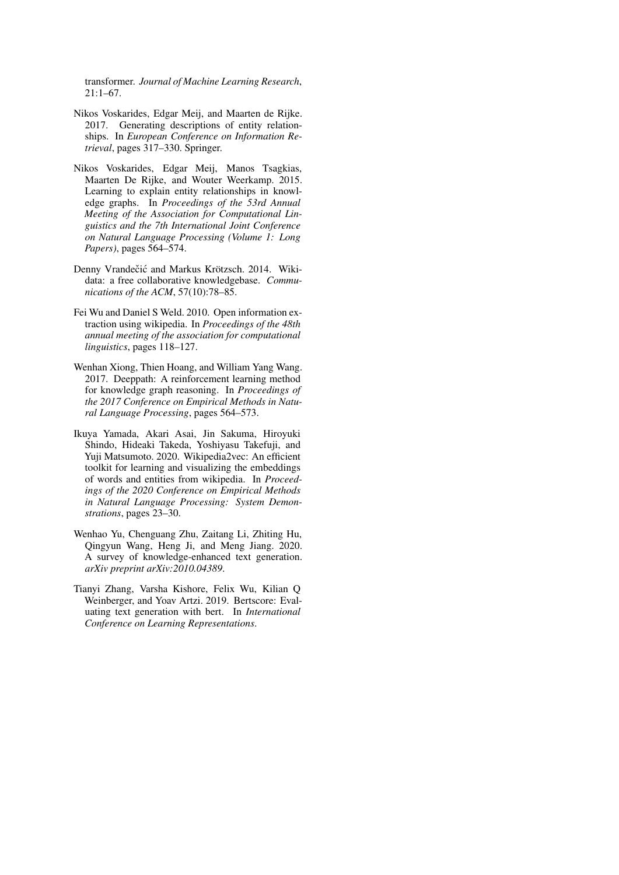transformer. *Journal of Machine Learning Research*, 21:1–67.

- <span id="page-9-3"></span>Nikos Voskarides, Edgar Meij, and Maarten de Rijke. 2017. Generating descriptions of entity relationships. In *European Conference on Information Retrieval*, pages 317–330. Springer.
- <span id="page-9-2"></span>Nikos Voskarides, Edgar Meij, Manos Tsagkias, Maarten De Rijke, and Wouter Weerkamp. 2015. Learning to explain entity relationships in knowledge graphs. In *Proceedings of the 53rd Annual Meeting of the Association for Computational Linguistics and the 7th International Joint Conference on Natural Language Processing (Volume 1: Long Papers)*, pages 564–574.
- <span id="page-9-0"></span>Denny Vrandečić and Markus Krötzsch. 2014. Wikidata: a free collaborative knowledgebase. *Communications of the ACM*, 57(10):78–85.
- <span id="page-9-5"></span>Fei Wu and Daniel S Weld. 2010. Open information extraction using wikipedia. In *Proceedings of the 48th annual meeting of the association for computational linguistics*, pages 118–127.
- <span id="page-9-1"></span>Wenhan Xiong, Thien Hoang, and William Yang Wang. 2017. Deeppath: A reinforcement learning method for knowledge graph reasoning. In *Proceedings of the 2017 Conference on Empirical Methods in Natural Language Processing*, pages 564–573.
- <span id="page-9-4"></span>Ikuya Yamada, Akari Asai, Jin Sakuma, Hiroyuki Shindo, Hideaki Takeda, Yoshiyasu Takefuji, and Yuji Matsumoto. 2020. Wikipedia2vec: An efficient toolkit for learning and visualizing the embeddings of words and entities from wikipedia. In *Proceedings of the 2020 Conference on Empirical Methods in Natural Language Processing: System Demonstrations*, pages 23–30.
- <span id="page-9-6"></span>Wenhao Yu, Chenguang Zhu, Zaitang Li, Zhiting Hu, Qingyun Wang, Heng Ji, and Meng Jiang. 2020. A survey of knowledge-enhanced text generation. *arXiv preprint arXiv:2010.04389*.
- <span id="page-9-7"></span>Tianyi Zhang, Varsha Kishore, Felix Wu, Kilian Q Weinberger, and Yoav Artzi. 2019. Bertscore: Evaluating text generation with bert. In *International Conference on Learning Representations*.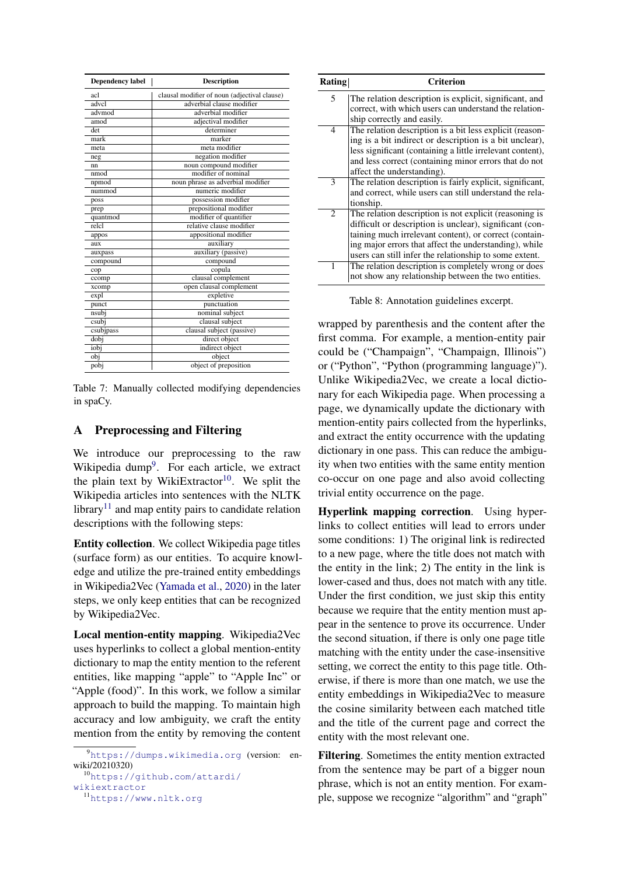<span id="page-10-1"></span>

| <b>Dependency label</b> | <b>Description</b>                           |  |  |  |
|-------------------------|----------------------------------------------|--|--|--|
| acl                     | clausal modifier of noun (adjectival clause) |  |  |  |
| advcl                   | adverbial clause modifier                    |  |  |  |
| advmod                  | adverbial modifier                           |  |  |  |
| $a \overline{mod}$      | adjectival modifier                          |  |  |  |
| det                     | determiner                                   |  |  |  |
| mark                    | marker                                       |  |  |  |
| meta                    | meta modifier                                |  |  |  |
| neg                     | negation modifier                            |  |  |  |
| nn                      | noun compound modifier                       |  |  |  |
| nmod                    | modifier of nominal                          |  |  |  |
| npmod                   | noun phrase as adverbial modifier            |  |  |  |
| nummod                  | numeric modifier                             |  |  |  |
| poss                    | possession modifier                          |  |  |  |
| prep                    | prepositional modifier                       |  |  |  |
| quantmod                | modifier of quantifier                       |  |  |  |
| relc1                   | relative clause modifier                     |  |  |  |
| appos                   | appositional modifier                        |  |  |  |
| aux                     | auxiliary                                    |  |  |  |
| auxpass                 | auxiliary (passive)                          |  |  |  |
| compound                | compound                                     |  |  |  |
| cop                     | copula                                       |  |  |  |
| ccomp                   | clausal complement                           |  |  |  |
| xcomp                   | open clausal complement                      |  |  |  |
| expl                    | expletive                                    |  |  |  |
| punct                   | punctuation                                  |  |  |  |
| nsubj                   | nominal subject                              |  |  |  |
| csubj                   | clausal subject                              |  |  |  |
| csubjpass               | clausal subject (passive)                    |  |  |  |
| dobj                    | direct object                                |  |  |  |
| iobj                    | indirect object                              |  |  |  |
| obj                     | object                                       |  |  |  |
| pobj                    | object of preposition                        |  |  |  |

Table 7: Manually collected modifying dependencies in spaCy.

# <span id="page-10-0"></span>A Preprocessing and Filtering

We introduce our preprocessing to the raw Wikipedia dump<sup>[9](#page-10-3)</sup>. For each article, we extract the plain text by WikiExtractor<sup>[10](#page-10-4)</sup>. We split the Wikipedia articles into sentences with the NLTK library<sup>[11](#page-10-5)</sup> and map entity pairs to candidate relation descriptions with the following steps:

Entity collection. We collect Wikipedia page titles (surface form) as our entities. To acquire knowledge and utilize the pre-trained entity embeddings in Wikipedia2Vec [\(Yamada et al.,](#page-9-4) [2020\)](#page-9-4) in the later steps, we only keep entities that can be recognized by Wikipedia2Vec.

Local mention-entity mapping. Wikipedia2Vec uses hyperlinks to collect a global mention-entity dictionary to map the entity mention to the referent entities, like mapping "apple" to "Apple Inc" or "Apple (food)". In this work, we follow a similar approach to build the mapping. To maintain high accuracy and low ambiguity, we craft the entity mention from the entity by removing the content

```
10https://github.com/attardi/
wikiextractor
```

```
11https://www.nltk.org
```
<span id="page-10-2"></span>

| Rating         | <b>Criterion</b>                                                                                                                                                                                                                                                                                |
|----------------|-------------------------------------------------------------------------------------------------------------------------------------------------------------------------------------------------------------------------------------------------------------------------------------------------|
| 5              | The relation description is explicit, significant, and<br>correct, with which users can understand the relation-<br>ship correctly and easily.                                                                                                                                                  |
| 4              | The relation description is a bit less explicit (reason-<br>ing is a bit indirect or description is a bit unclear),<br>less significant (containing a little irrelevant content),<br>and less correct (containing minor errors that do not<br>affect the understanding).                        |
| 3              | The relation description is fairly explicit, significant,<br>and correct, while users can still understand the rela-<br>tionship.                                                                                                                                                               |
| $\overline{c}$ | The relation description is not explicit (reasoning is<br>difficult or description is unclear), significant (con-<br>taining much irrelevant content), or correct (contain-<br>ing major errors that affect the understanding), while<br>users can still infer the relationship to some extent. |
| 1              | The relation description is completely wrong or does<br>not show any relationship between the two entities.                                                                                                                                                                                     |

Table 8: Annotation guidelines excerpt.

wrapped by parenthesis and the content after the first comma. For example, a mention-entity pair could be ("Champaign", "Champaign, Illinois") or ("Python", "Python (programming language)"). Unlike Wikipedia2Vec, we create a local dictionary for each Wikipedia page. When processing a page, we dynamically update the dictionary with mention-entity pairs collected from the hyperlinks, and extract the entity occurrence with the updating dictionary in one pass. This can reduce the ambiguity when two entities with the same entity mention co-occur on one page and also avoid collecting trivial entity occurrence on the page.

Hyperlink mapping correction. Using hyperlinks to collect entities will lead to errors under some conditions: 1) The original link is redirected to a new page, where the title does not match with the entity in the link; 2) The entity in the link is lower-cased and thus, does not match with any title. Under the first condition, we just skip this entity because we require that the entity mention must appear in the sentence to prove its occurrence. Under the second situation, if there is only one page title matching with the entity under the case-insensitive setting, we correct the entity to this page title. Otherwise, if there is more than one match, we use the entity embeddings in Wikipedia2Vec to measure the cosine similarity between each matched title and the title of the current page and correct the entity with the most relevant one.

Filtering. Sometimes the entity mention extracted from the sentence may be part of a bigger noun phrase, which is not an entity mention. For example, suppose we recognize "algorithm" and "graph"

<span id="page-10-3"></span><sup>9</sup><https://dumps.wikimedia.org> (version: enwiki/20210320)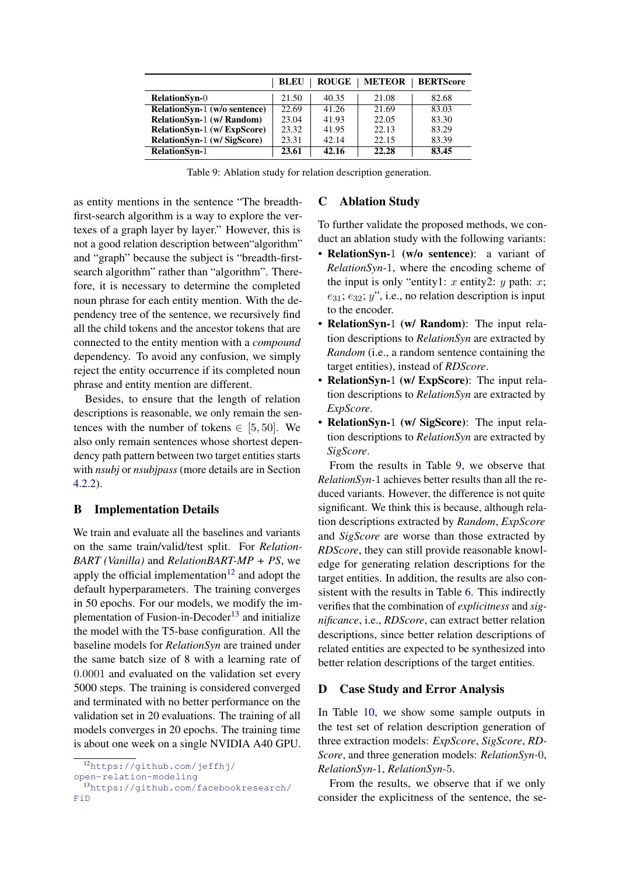<span id="page-11-5"></span>

|                                  | <b>BLEU</b> | <b>ROUGE</b> | <b>METEOR</b> | <b>BERTScore</b> |
|----------------------------------|-------------|--------------|---------------|------------------|
| <b>RelationSyn-O</b>             | 21.50       | 40.35        | 21.08         | 82.68            |
| RelationSyn-1 (w/o sentence)     | 22.69       | 41.26        | 21.69         | 83.03            |
| <b>RelationSyn-1 (w/ Random)</b> | 23.04       | 41.93        | 22.05         | 83.30            |
| RelationSyn-1 (w/ ExpScore)      | 23.32       | 41.95        | 22.13         | 83.29            |
| RelationSyn-1 (w/ SigScore)      | 23.31       | 42.14        | 22.15         | 83.39            |
| <b>RelationSyn-1</b>             | 23.61       | 42.16        | 22.28         | 83.45            |

Table 9: Ablation study for relation description generation.

as entity mentions in the sentence "The breadthfirst-search algorithm is a way to explore the vertexes of a graph layer by layer." However, this is not a good relation description between"algorithm" and "graph" because the subject is "breadth-firstsearch algorithm" rather than "algorithm". Therefore, it is necessary to determine the completed noun phrase for each entity mention. With the dependency tree of the sentence, we recursively find all the child tokens and the ancestor tokens that are connected to the entity mention with a *compound* dependency. To avoid any confusion, we simply reject the entity occurrence if its completed noun phrase and entity mention are different.

Besides, to ensure that the length of relation descriptions is reasonable, we only remain the sentences with the number of tokens  $\in$  [5, 50]. We also only remain sentences whose shortest dependency path pattern between two target entities starts with *nsubj* or *nsubjpass* (more details are in Section [4.2.2\)](#page-3-5).

# <span id="page-11-1"></span>B Implementation Details

We train and evaluate all the baselines and variants on the same train/valid/test split. For *Relation-BART (Vanilla)* and *RelationBART-MP + PS*, we apply the official implementation<sup>[12](#page-11-3)</sup> and adopt the default hyperparameters. The training converges in 50 epochs. For our models, we modify the im-plementation of Fusion-in-Decoder<sup>[13](#page-11-4)</sup> and initialize the model with the T5-base configuration. All the baseline models for *RelationSyn* are trained under the same batch size of 8 with a learning rate of 0.0001 and evaluated on the validation set every 5000 steps. The training is considered converged and terminated with no better performance on the validation set in 20 evaluations. The training of all models converges in 20 epochs. The training time is about one week on a single NVIDIA A40 GPU.

# <span id="page-11-0"></span>C Ablation Study

To further validate the proposed methods, we conduct an ablation study with the following variants:

- RelationSyn-1 (w/o sentence): a variant of *RelationSyn-*1, where the encoding scheme of the input is only "entity1: x entity2: y path: x;  $e_{31}; e_{32}; y$ ", i.e., no relation description is input to the encoder.
- RelationSyn-1 (w/ Random): The input relation descriptions to *RelationSyn* are extracted by *Random* (i.e., a random sentence containing the target entities), instead of *RDScore*.
- RelationSyn-1 (w/ ExpScore): The input relation descriptions to *RelationSyn* are extracted by *ExpScore*.
- RelationSyn-1 (w/ SigScore): The input relation descriptions to *RelationSyn* are extracted by *SigScore*.

From the results in Table [9,](#page-11-5) we observe that *RelationSyn-*1 achieves better results than all the reduced variants. However, the difference is not quite significant. We think this is because, although relation descriptions extracted by *Random*, *ExpScore* and *SigScore* are worse than those extracted by *RDScore*, they can still provide reasonable knowledge for generating relation descriptions for the target entities. In addition, the results are also consistent with the results in Table [6.](#page-7-2) This indirectly verifies that the combination of *explicitness* and *significance*, i.e., *RDScore*, can extract better relation descriptions, since better relation descriptions of related entities are expected to be synthesized into better relation descriptions of the target entities.

# <span id="page-11-2"></span>D Case Study and Error Analysis

In Table [10,](#page-12-0) we show some sample outputs in the test set of relation description generation of three extraction models: *ExpScore*, *SigScore*, *RD-Score*, and three generation models: *RelationSyn-*0, *RelationSyn-*1, *RelationSyn-*5.

From the results, we observe that if we only consider the explicitness of the sentence, the se-

<span id="page-11-3"></span><sup>12</sup>[https://github.com/jeffhj/](https://github.com/jeffhj/open-relation-modeling)

[open-relation-modeling](https://github.com/jeffhj/open-relation-modeling)

<span id="page-11-4"></span><sup>13</sup>[https://github.com/facebookresearch/](https://github.com/facebookresearch/FiD) [FiD](https://github.com/facebookresearch/FiD)